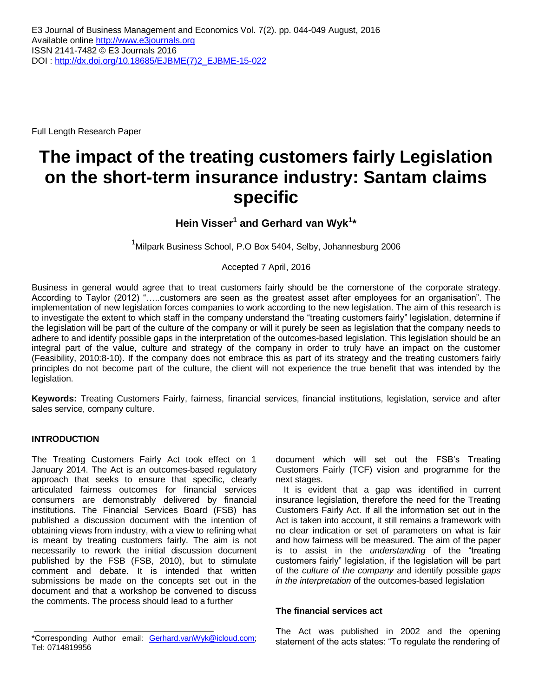Full Length Research Paper

# **The impact of the treating customers fairly Legislation on the short-term insurance industry: Santam claims specific**

**Hein Visser<sup>1</sup> and Gerhard van Wyk<sup>1</sup> \***

 $1$ Milpark Business School, P.O Box 5404, Selby, Johannesburg 2006

Accepted 7 April, 2016

Business in general would agree that to treat customers fairly should be the cornerstone of the corporate strategy. According to Taylor (2012) "…..customers are seen as the greatest asset after employees for an organisation". The implementation of new legislation forces companies to work according to the new legislation. The aim of this research is to investigate the extent to which staff in the company understand the "treating customers fairly" legislation, determine if the legislation will be part of the culture of the company or will it purely be seen as legislation that the company needs to adhere to and identify possible gaps in the interpretation of the outcomes-based legislation. This legislation should be an integral part of the value, culture and strategy of the company in order to truly have an impact on the customer (Feasibility, 2010:8-10). If the company does not embrace this as part of its strategy and the treating customers fairly principles do not become part of the culture, the client will not experience the true benefit that was intended by the legislation.

**Keywords:** Treating Customers Fairly, fairness, financial services, financial institutions, legislation, service and after sales service, company culture.

#### **INTRODUCTION**

The Treating Customers Fairly Act took effect on 1 January 2014. The Act is an outcomes-based regulatory approach that seeks to ensure that specific, clearly articulated fairness outcomes for financial services consumers are demonstrably delivered by financial institutions. The Financial Services Board (FSB) has published a discussion document with the intention of obtaining views from industry, with a view to refining what is meant by treating customers fairly. The aim is not necessarily to rework the initial discussion document published by the FSB (FSB, 2010), but to stimulate comment and debate. It is intended that written submissions be made on the concepts set out in the document and that a workshop be convened to discuss the comments. The process should lead to a further

document which will set out the FSB's Treating Customers Fairly (TCF) vision and programme for the next stages.

It is evident that a gap was identified in current insurance legislation, therefore the need for the Treating Customers Fairly Act. If all the information set out in the Act is taken into account, it still remains a framework with no clear indication or set of parameters on what is fair and how fairness will be measured. The aim of the paper is to assist in the *understanding* of the "treating customers fairly" legislation, if the legislation will be part of the *culture of the company* and identify possible *gaps in the interpretation* of the outcomes-based legislation

#### **The financial services act**

The Act was published in 2002 and the opening statement of the acts states: "To regulate the rendering of

<sup>\*</sup>Corresponding Author email: **Gerhard.vanWyk@icloud.com**; Tel: 0714819956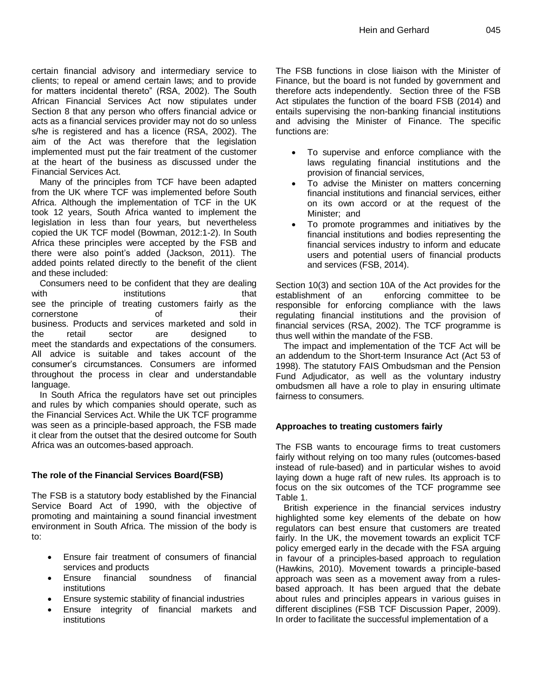certain financial advisory and intermediary service to clients; to repeal or amend certain laws; and to provide for matters incidental thereto" (RSA, 2002). The South African Financial Services Act now stipulates under Section 8 that any person who offers financial advice or acts as a financial services provider may not do so unless s/he is registered and has a licence (RSA, 2002). The aim of the Act was therefore that the legislation implemented must put the fair treatment of the customer at the heart of the business as discussed under the Financial Services Act.

Many of the principles from TCF have been adapted from the UK where TCF was implemented before South Africa. Although the implementation of TCF in the UK took 12 years, South Africa wanted to implement the legislation in less than four years, but nevertheless copied the UK TCF model (Bowman, 2012:1-2). In South Africa these principles were accepted by the FSB and there were also point's added (Jackson, 2011). The added points related directly to the benefit of the client and these included:

Consumers need to be confident that they are dealing with institutions that see the principle of treating customers fairly as the cornerstone of their business. Products and services marketed and sold in the retail sector are designed to meet the standards and expectations of the consumers. All advice is suitable and takes account of the consumer's circumstances. Consumers are informed throughout the process in clear and understandable language.

In South Africa the regulators have set out principles and rules by which companies should operate, such as the Financial Services Act. While the UK TCF programme was seen as a principle-based approach, the FSB made it clear from the outset that the desired outcome for South Africa was an outcomes-based approach.

# **The role of the Financial Services Board(FSB)**

The FSB is a statutory body established by the Financial Service Board Act of 1990, with the objective of promoting and maintaining a sound financial investment environment in South Africa. The mission of the body is to:

- Ensure fair treatment of consumers of financial services and products
- Ensure financial soundness of financial institutions
- Ensure systemic stability of financial industries
- Ensure integrity of financial markets and institutions

The FSB functions in close liaison with the Minister of Finance, but the board is not funded by government and therefore acts independently. Section three of the FSB Act stipulates the function of the board FSB (2014) and entails supervising the non-banking financial institutions and advising the Minister of Finance. The specific functions are:

- To supervise and enforce compliance with the laws regulating financial institutions and the provision of financial services,
- To advise the Minister on matters concerning financial institutions and financial services, either on its own accord or at the request of the Minister; and
- To promote programmes and initiatives by the financial institutions and bodies representing the financial services industry to inform and educate users and potential users of financial products and services (FSB, 2014).

Section 10(3) and section 10A of the Act provides for the establishment of an enforcing committee to be responsible for enforcing compliance with the laws regulating financial institutions and the provision of financial services (RSA, 2002). The TCF programme is thus well within the mandate of the FSB.

The impact and implementation of the TCF Act will be an addendum to the Short-term Insurance Act (Act 53 of 1998). The statutory FAIS Ombudsman and the Pension Fund Adjudicator, as well as the voluntary industry ombudsmen all have a role to play in ensuring ultimate fairness to consumers.

# **Approaches to treating customers fairly**

The FSB wants to encourage firms to treat customers fairly without relying on too many rules (outcomes-based instead of rule-based) and in particular wishes to avoid laying down a huge raft of new rules. Its approach is to focus on the six outcomes of the TCF programme see Table 1.

British experience in the financial services industry highlighted some key elements of the debate on how regulators can best ensure that customers are treated fairly. In the UK, the movement towards an explicit TCF policy emerged early in the decade with the FSA arguing in favour of a principles-based approach to regulation (Hawkins, 2010). Movement towards a principle-based approach was seen as a movement away from a rulesbased approach. It has been argued that the debate about rules and principles appears in various guises in different disciplines (FSB TCF Discussion Paper, 2009). In order to facilitate the successful implementation of a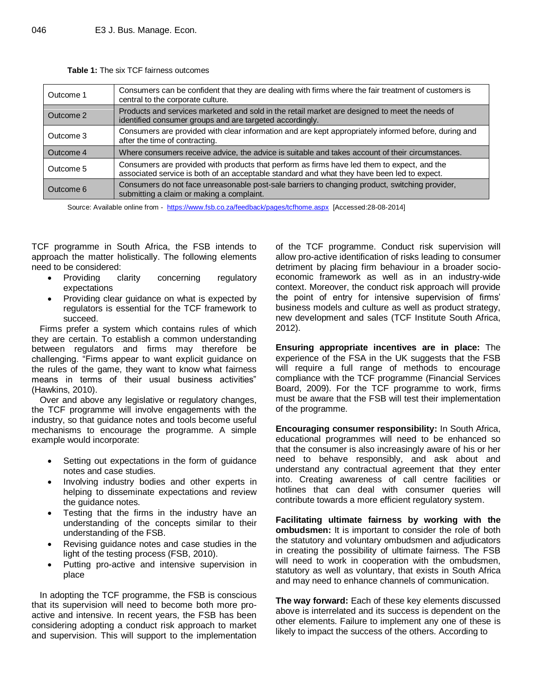| Outcome 1 | Consumers can be confident that they are dealing with firms where the fair treatment of customers is<br>central to the corporate culture.                                                  |
|-----------|--------------------------------------------------------------------------------------------------------------------------------------------------------------------------------------------|
| Outcome 2 | Products and services marketed and sold in the retail market are designed to meet the needs of<br>identified consumer groups and are targeted accordingly.                                 |
| Outcome 3 | Consumers are provided with clear information and are kept appropriately informed before, during and<br>after the time of contracting.                                                     |
| Outcome 4 | Where consumers receive advice, the advice is suitable and takes account of their circumstances.                                                                                           |
| Outcome 5 | Consumers are provided with products that perform as firms have led them to expect, and the<br>associated service is both of an acceptable standard and what they have been led to expect. |
| Outcome 6 | Consumers do not face unreasonable post-sale barriers to changing product, switching provider,<br>submitting a claim or making a complaint.                                                |

**Table 1:** The six TCF fairness outcomes

Source: Available online from - <https://www.fsb.co.za/feedback/pages/tcfhome.aspx>[Accessed:28-08-2014]

TCF programme in South Africa, the FSB intends to approach the matter holistically. The following elements need to be considered:

- Providing clarity concerning regulatory expectations
- Providing clear guidance on what is expected by regulators is essential for the TCF framework to succeed.

Firms prefer a system which contains rules of which they are certain. To establish a common understanding between regulators and firms may therefore be challenging. "Firms appear to want explicit guidance on the rules of the game, they want to know what fairness means in terms of their usual business activities" (Hawkins, 2010).

Over and above any legislative or regulatory changes, the TCF programme will involve engagements with the industry, so that guidance notes and tools become useful mechanisms to encourage the programme. A simple example would incorporate:

- Setting out expectations in the form of guidance notes and case studies.
- Involving industry bodies and other experts in helping to disseminate expectations and review the guidance notes.
- Testing that the firms in the industry have an understanding of the concepts similar to their understanding of the FSB.
- Revising guidance notes and case studies in the light of the testing process (FSB, 2010).
- Putting pro-active and intensive supervision in place

In adopting the TCF programme, the FSB is conscious that its supervision will need to become both more proactive and intensive. In recent years, the FSB has been considering adopting a conduct risk approach to market and supervision. This will support to the implementation

of the TCF programme. Conduct risk supervision will allow pro-active identification of risks leading to consumer detriment by placing firm behaviour in a broader socioeconomic framework as well as in an industry-wide context. Moreover, the conduct risk approach will provide the point of entry for intensive supervision of firms' business models and culture as well as product strategy, new development and sales (TCF Institute South Africa, 2012).

**Ensuring appropriate incentives are in place:** The experience of the FSA in the UK suggests that the FSB will require a full range of methods to encourage compliance with the TCF programme (Financial Services Board, 2009). For the TCF programme to work, firms must be aware that the FSB will test their implementation of the programme.

**Encouraging consumer responsibility:** In South Africa, educational programmes will need to be enhanced so that the consumer is also increasingly aware of his or her need to behave responsibly, and ask about and understand any contractual agreement that they enter into. Creating awareness of call centre facilities or hotlines that can deal with consumer queries will contribute towards a more efficient regulatory system.

**Facilitating ultimate fairness by working with the ombudsmen:** It is important to consider the role of both the statutory and voluntary ombudsmen and adjudicators in creating the possibility of ultimate fairness. The FSB will need to work in cooperation with the ombudsmen, statutory as well as voluntary, that exists in South Africa and may need to enhance channels of communication.

**The way forward:** Each of these key elements discussed above is interrelated and its success is dependent on the other elements. Failure to implement any one of these is likely to impact the success of the others. According to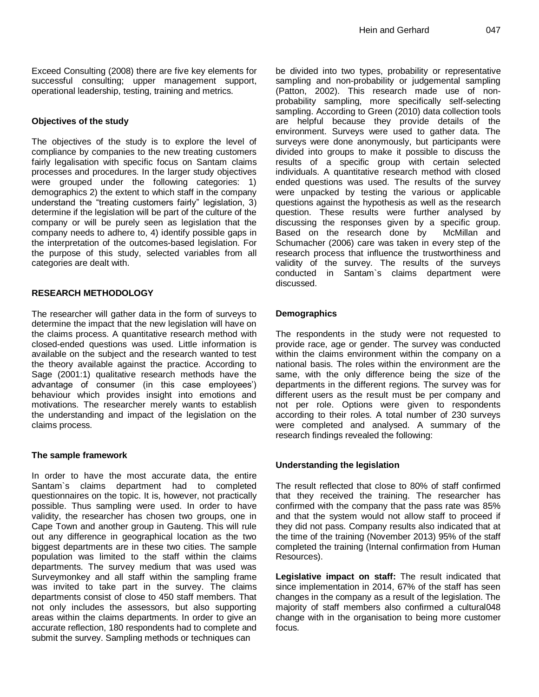## **Objectives of the study**

The objectives of the study is to explore the level of compliance by companies to the new treating customers fairly legalisation with specific focus on Santam claims processes and procedures. In the larger study objectives were grouped under the following categories: 1) demographics 2) the extent to which staff in the company understand the "treating customers fairly" legislation, 3) determine if the legislation will be part of the culture of the company or will be purely seen as legislation that the company needs to adhere to, 4) identify possible gaps in the interpretation of the outcomes-based legislation. For the purpose of this study, selected variables from all categories are dealt with.

#### **RESEARCH METHODOLOGY**

The researcher will gather data in the form of surveys to determine the impact that the new legislation will have on the claims process. A quantitative research method with closed-ended questions was used. Little information is available on the subject and the research wanted to test the theory available against the practice. According to Sage (2001:1) qualitative research methods have the advantage of consumer (in this case employees') behaviour which provides insight into emotions and motivations. The researcher merely wants to establish the understanding and impact of the legislation on the claims process.

#### **The sample framework**

In order to have the most accurate data, the entire Santam`s claims department had to completed questionnaires on the topic. It is, however, not practically possible. Thus sampling were used. In order to have validity, the researcher has chosen two groups, one in Cape Town and another group in Gauteng. This will rule out any difference in geographical location as the two biggest departments are in these two cities. The sample population was limited to the staff within the claims departments. The survey medium that was used was Surveymonkey and all staff within the sampling frame was invited to take part in the survey. The claims departments consist of close to 450 staff members. That not only includes the assessors, but also supporting areas within the claims departments. In order to give an accurate reflection, 180 respondents had to complete and submit the survey. Sampling methods or techniques can

be divided into two types, probability or representative sampling and non-probability or judgemental sampling (Patton, 2002). This research made use of nonprobability sampling, more specifically self-selecting sampling. According to Green (2010) data collection tools are helpful because they provide details of the environment. Surveys were used to gather data. The surveys were done anonymously, but participants were divided into groups to make it possible to discuss the results of a specific group with certain selected individuals. A quantitative research method with closed ended questions was used. The results of the survey were unpacked by testing the various or applicable questions against the hypothesis as well as the research question. These results were further analysed by discussing the responses given by a specific group. Based on the research done by McMillan and Schumacher (2006) care was taken in every step of the research process that influence the trustworthiness and validity of the survey. The results of the surveys conducted in Santam`s claims department were discussed.

## **Demographics**

The respondents in the study were not requested to provide race, age or gender. The survey was conducted within the claims environment within the company on a national basis. The roles within the environment are the same, with the only difference being the size of the departments in the different regions. The survey was for different users as the result must be per company and not per role. Options were given to respondents according to their roles. A total number of 230 surveys were completed and analysed. A summary of the research findings revealed the following:

#### **Understanding the legislation**

The result reflected that close to 80% of staff confirmed that they received the training. The researcher has confirmed with the company that the pass rate was 85% and that the system would not allow staff to proceed if they did not pass. Company results also indicated that at the time of the training (November 2013) 95% of the staff completed the training (Internal confirmation from Human Resources).

**Legislative impact on staff:** The result indicated that since implementation in 2014, 67% of the staff has seen changes in the company as a result of the legislation. The majority of staff members also confirmed a cultural048 change with in the organisation to being more customer focus.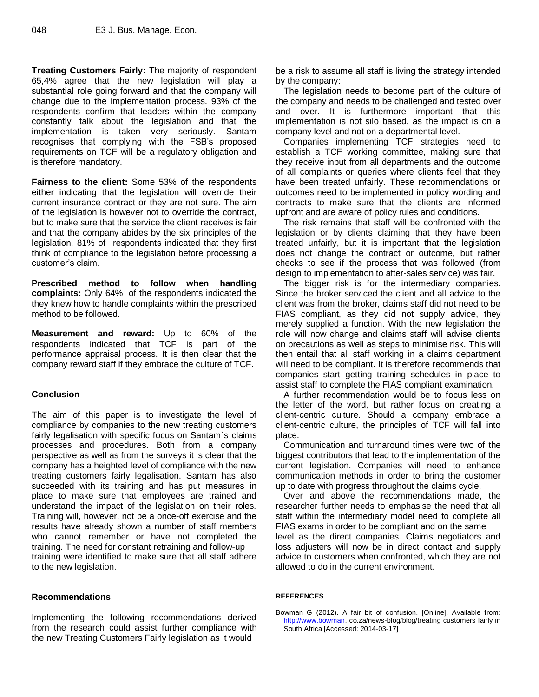**Treating Customers Fairly:** The majority of respondent 65,4% agree that the new legislation will play a substantial role going forward and that the company will change due to the implementation process. 93% of the respondents confirm that leaders within the company constantly talk about the legislation and that the implementation is taken very seriously. Santam recognises that complying with the FSB's proposed requirements on TCF will be a regulatory obligation and is therefore mandatory.

**Fairness to the client:** Some 53% of the respondents either indicating that the legislation will override their current insurance contract or they are not sure. The aim of the legislation is however not to override the contract, but to make sure that the service the client receives is fair and that the company abides by the six principles of the legislation. 81% of respondents indicated that they first think of compliance to the legislation before processing a customer's claim.

**Prescribed method to follow when handling complaints:** Only 64% of the respondents indicated the they knew how to handle complaints within the prescribed method to be followed.

**Measurement and reward:** Up to 60% of the respondents indicated that TCF is part of the performance appraisal process. It is then clear that the company reward staff if they embrace the culture of TCF.

#### **Conclusion**

The aim of this paper is to investigate the level of compliance by companies to the new treating customers fairly legalisation with specific focus on Santam`s claims processes and procedures. Both from a company perspective as well as from the surveys it is clear that the company has a heighted level of compliance with the new treating customers fairly legalisation. Santam has also succeeded with its training and has put measures in place to make sure that employees are trained and understand the impact of the legislation on their roles. Training will, however, not be a once-off exercise and the results have already shown a number of staff members who cannot remember or have not completed the training. The need for constant retraining and follow-up training were identified to make sure that all staff adhere to the new legislation.

#### **Recommendations**

Implementing the following recommendations derived from the research could assist further compliance with the new Treating Customers Fairly legislation as it would

be a risk to assume all staff is living the strategy intended by the company:

The legislation needs to become part of the culture of the company and needs to be challenged and tested over and over. It is furthermore important that this implementation is not silo based, as the impact is on a company level and not on a departmental level.

Companies implementing TCF strategies need to establish a TCF working committee, making sure that they receive input from all departments and the outcome of all complaints or queries where clients feel that they have been treated unfairly. These recommendations or outcomes need to be implemented in policy wording and contracts to make sure that the clients are informed upfront and are aware of policy rules and conditions.

The risk remains that staff will be confronted with the legislation or by clients claiming that they have been treated unfairly, but it is important that the legislation does not change the contract or outcome, but rather checks to see if the process that was followed (from design to implementation to after-sales service) was fair.

The bigger risk is for the intermediary companies. Since the broker serviced the client and all advice to the client was from the broker, claims staff did not need to be FIAS compliant, as they did not supply advice, they merely supplied a function. With the new legislation the role will now change and claims staff will advise clients on precautions as well as steps to minimise risk. This will then entail that all staff working in a claims department will need to be compliant. It is therefore recommends that companies start getting training schedules in place to assist staff to complete the FIAS compliant examination.

A further recommendation would be to focus less on the letter of the word, but rather focus on creating a client-centric culture. Should a company embrace a client-centric culture, the principles of TCF will fall into place.

Communication and turnaround times were two of the biggest contributors that lead to the implementation of the current legislation. Companies will need to enhance communication methods in order to bring the customer up to date with progress throughout the claims cycle.

Over and above the recommendations made, the researcher further needs to emphasise the need that all staff within the intermediary model need to complete all FIAS exams in order to be compliant and on the same level as the direct companies. Claims negotiators and loss adjusters will now be in direct contact and supply advice to customers when confronted, which they are not allowed to do in the current environment.

#### **REFERENCES**

Bowman G (2012). A fair bit of confusion. [Online]. Available from: [http://www.bowman.](http://www.bowman/) co.za/news-blog/blog/treating customers fairly in South Africa [Accessed: 2014-03-17]